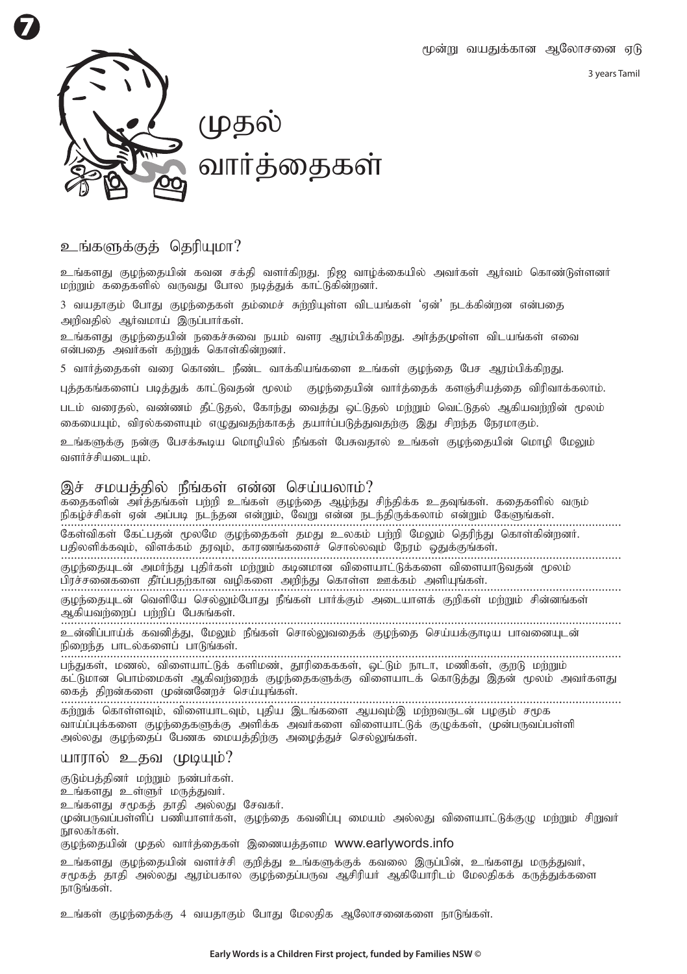3 years Tamil



## உங்களுக்குக் தெரியமா?

உங்களது குமந்தையின் கவன சக்தி வளர்கிறது. நிஜ வாம்க்கையில் அவர்கள் அர்வம் கொண்டுள்ளனர் மற்றும் கதைகளில் வருவது போல நடித்துக் காட்டுகின்றனர்.

3 வயகாகும் போகு குமந்தைகள் கம்மைச் சுற்றியள்ள விடயங்கள் 'என்' நடக்கின்றன என்பகை அறிவதில் ஆர்வமாய் இருப்பார்கள்.

உங்களது குழந்தையின் நகைச்சுவை நயம் வளர ஆரம்பிக்கிறது. அர்த்தமுள்ள விடயங்கள் எவை என்பதை அவர்கள் கற்றுக் கொள்கின்றனர்.

5 வார்த்தைகள் வரை கொண்ட நீண்ட வாக்கியங்களை உங்கள் குழந்தை பேச ஆரம்பிக்கிறது.

புத்தகங்களைப் படித்துக் காட்டுவதன் மூலம் குழந்தையின் வார்த்தைக் களஞ்சியத்தை விரிவாக்கலாம்.

படம் வரைதல், வண்ணம் தீட்டுதல், கோந்து வைத்து ஒட்டுதல் மற்றும் வெட்டுதல் ஆகியவற்றின் மூலம் கையையும், விரல்களையும் எழுதுவதற்காகத் தயார்ப்படுத்துவதற்கு இது சிறந்த நேரமாகும்.

உங்களுக்கு நன்கு பேசக்கூடிய மொழியில் நீங்கள் பேசுவதால் உங்கள் குழந்தையின் மொழி மேலும் வளர்ச்சியடையும்.

## இச் சமயக்கில் நீங்கள் என்ன செய்யலாம்?

**.....................................................................................................................................** epfo;r;rpfs; Vd; mg;gb ele;jd vd;Wk;> NtW vd;d ele;jpUf;fyhk; vd;Wk; NfSq;fs;. **.....................................................................................................................................** gjpyspf;fTk;> tpsf;fk; juTk;> fhuzq;fisr; nrhy;yTk; Neuk; xJf;Fq;fs;. **.....................................................................................................................................** gpur;ridfis jPh;g;gjw;fhd topfis mwpe;J nfhs;s Cf;fk; mspAq;fs;. **.....................................................................................................................................** .<br>கதைகளின் அர்த்தங்கள் பற்றி உங்கள் குழந்தை ஆழ்ந்து சிந்திக்க உதவுங்கள். கதைகளில் வரும் கேள்விகள் கேட்பதன் மூலமே குழந்தைகள் தமது உலகம் பற்றி மேலும் தெரிந்து கொள்கின்றனர். Foe;ijAld; mkHe;J GjpHfs; kw;Wk; fbdkhd tpisahl;Lf;fis tpisahLtjd; %yk; குழந்தையுடன் வெளியே செல்லும்போது நீங்கள் பார்க்கும் அடையாளக் குறிகள் மற்றும் சின்னங்கள் அகியவற்றைப் பற்றிப் பேசுங்கள். உன்னிப்பாய்க் கவனித்து, மேலும் நீங்கள் சொல்லுவதைக் குழந்தை செய்யக்குாடிய பாவனையுடன்

நிறைந்த பாடல்களைப் பாடுங்கள்.

**..................................................................................................................................... .....................................................................................................................................** பந்துகள், மணல், விளையாட்டுக் களிமண், தூரிகைககள், ஒட்டும் நாடா, மணிகள், குறடு மற்றும் கட்டுமான பொம்மைகள் ஆகிவற்றைக் குழந்தைகளுக்கு விளையாடக் கொடுத்து இதன் மூலம் அவர்களது கைத் திறன்களை முன்னனேறச் செய்யங்கள்.

கற்றுக் கொள்ளவும், விளையாடவும், புதிய இடங்களை ஆயவும்இ மற்றவருடன் பழகும் சமூக வாய்ப்புக்களை குழந்தைகளுக்கு அளிக்க அவர்களை விளையாட்டுக் குழுக்கள், முன்பருவப்பள்ளி அல்லது குழந்தைப் பேணக மையத்திற்கு அழைத்துச் செல்லுங்கள்.

## யாரால் உதவ முடியும்?

குடும்பத்தினர் மற்றும் நண்பர்கள்.

உங்களது உள்ளுர் மருத்துவர்.

உங்களது சமூகக் தாதி அல்லது சேவகர்.

முன்பருவப்பள்ளிப் பணியாளர்கள், குழந்தை கவனிப்பு மையம் அல்லது விளையாட்டுக்குமு மற்றும் சிறுவர் நாலகாகள்

குழந்தையின் முதல் வார்த்தைகள் இணையத்தளம www.earlywords.info

உங்களது குழந்தையின் வளர்ச்சி குறித்து உங்களுக்குக் கவலை இருப்பின், உங்களது மருத்துவர், ருமகக் காதி அல்லது அாம்பகால குமந்தைப்பருவ அசிரியர் அகியோரிடம் மேலதிகக் கருத்துக்களை நாடுங்கள்.

உங்கள் குமந்தைக்கு 4 வயகாகும் போகு மேலதிக ஆலோசனைகளை நாடுங்கள்.